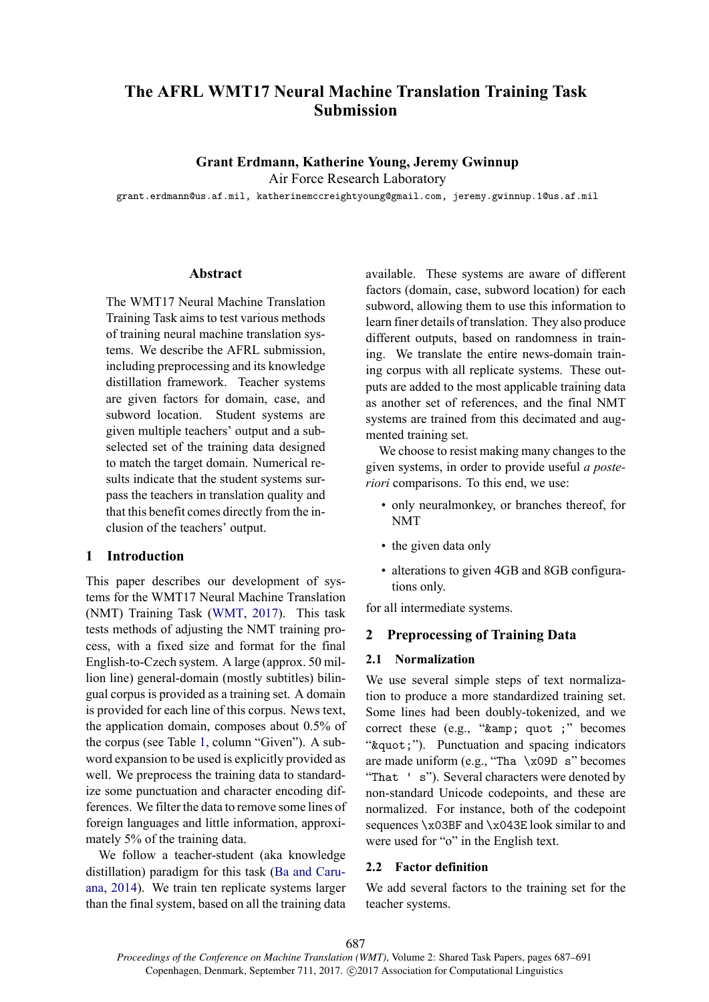# **The AFRL WMT17 Neural Machine Translation Training Task Submission**

## **Grant Erdmann, Katherine Young, Jeremy Gwinnup**

Air Force Research Laboratory

grant.erdmann@us.af.mil, katherinemccreightyoung@gmail.com, jeremy.gwinnup.1@us.af.mil

#### **Abstract**

The WMT17 Neural Machine Translation Training Task aims to test various methods of training neural machine translation systems. We describe the AFRL submission, including preprocessing and its knowledge distillation framework. Teacher systems are given factors for domain, case, and subword location. Student systems are given multiple teachers' output and a subselected set of the training data designed to match the target domain. Numerical results indicate that the student systems surpass the teachers in translation quality and that this benefit comes directly from the inclusion of the teachers' output.

#### **1 Introduction**

This paper describes our development of systems for the WMT17 Neural Machine Translation (NMT) Training Task (WMT, 2017). This task tests methods of adjusting the NMT training process, with a fixed size and format for the final English-to-Czech system. A large (approx. 50 million line) general-domain (mostly subtitles) bilingual corpus is provided as a training set. A domain is provided for each line of this corpus. News text, the application domain, composes about 0.5% of the corpus (see Table 1, column "Given"). A subword expansion to be used is explicitly provided as well. We preprocess the training data to standardize some punctuation and character encoding differences. We filter the data to remove some lines of foreign languages and little information, approximately 5% of the training data.

We follow a teacher-student (aka knowledge distillation) paradigm for this task (Ba and Caruana, 2014). We train ten replicate systems larger than the final system, based on all the training data available. These systems are aware of different factors (domain, case, subword location) for each subword, allowing them to use this information to learn finer details of translation. They also produce different outputs, based on randomness in training. We translate the entire news-domain training corpus with all replicate systems. These outputs are added to the most applicable training data as another set of references, and the final NMT systems are trained from this decimated and augmented training set.

We choose to resist making many changes to the given systems, in order to provide useful *a posteriori* comparisons. To this end, we use:

- only neuralmonkey, or branches thereof, for NMT
- the given data only
- alterations to given 4GB and 8GB configurations only.

for all intermediate systems.

## **2 Preprocessing of Training Data**

#### **2.1 Normalization**

We use several simple steps of text normalization to produce a more standardized training set. Some lines had been doubly-tokenized, and we correct these (e.g., " $kamp$ ; quot;" becomes " & quot;"). Punctuation and spacing indicators are made uniform (e.g., "Tha  $\x09D$  s" becomes "That ' s"). Several characters were denoted by non-standard Unicode codepoints, and these are normalized. For instance, both of the codepoint sequences \x03BF and \x043E look similar to and were used for "o" in the English text.

#### **2.2 Factor definition**

We add several factors to the training set for the teacher systems.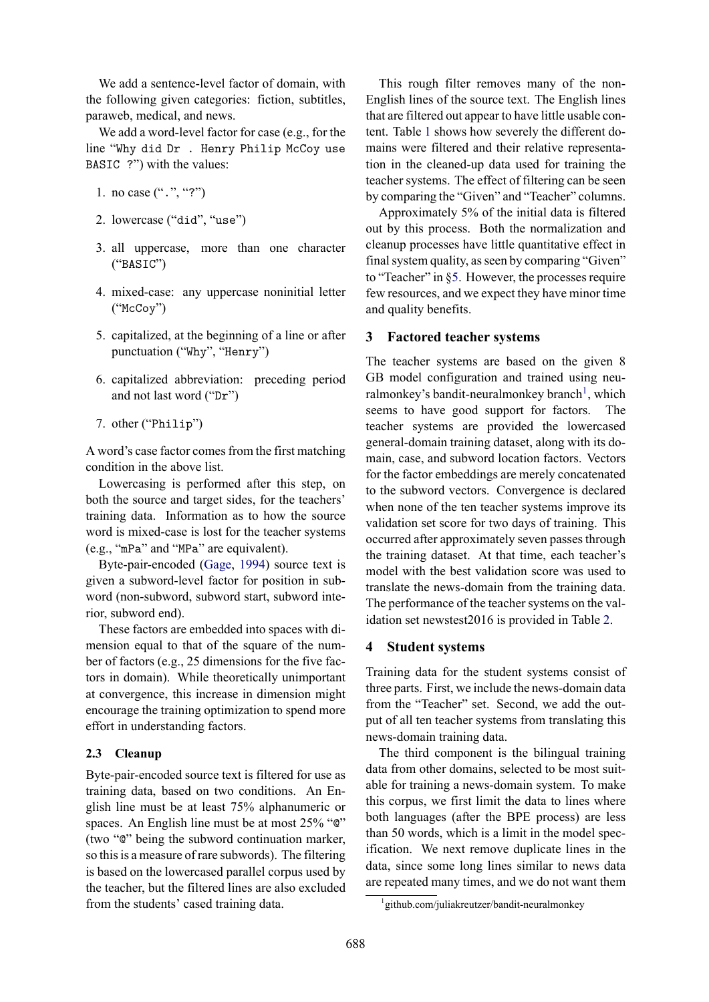We add a sentence-level factor of domain, with the following given categories: fiction, subtitles, paraweb, medical, and news.

We add a word-level factor for case (e.g., for the line "Why did Dr . Henry Philip McCoy use BASIC ?") with the values:

- 1. no case  $($ ".", "?")
- 2. lowercase ("did", "use")
- 3. all uppercase, more than one character ("BASIC")
- 4. mixed-case: any uppercase noninitial letter ("McCoy")
- 5. capitalized, at the beginning of a line or after punctuation ("Why", "Henry")
- 6. capitalized abbreviation: preceding period and not last word ("Dr")
- 7. other ("Philip")

A word's case factor comes from the first matching condition in the above list.

Lowercasing is performed after this step, on both the source and target sides, for the teachers' training data. Information as to how the source word is mixed-case is lost for the teacher systems (e.g., "mPa" and "MPa" are equivalent).

Byte-pair-encoded (Gage, 1994) source text is given a subword-level factor for position in subword (non-subword, subword start, subword interior, subword end).

These factors are embedded into spaces with dimension equal to that of the square of the number of factors (e.g., 25 dimensions for the five factors in domain). While theoretically unimportant at convergence, this increase in dimension might encourage the training optimization to spend more effort in understanding factors.

## **2.3 Cleanup**

Byte-pair-encoded source text is filtered for use as training data, based on two conditions. An English line must be at least 75% alphanumeric or spaces. An English line must be at most 25% " $\degree$ " (two "@" being the subword continuation marker, so this is a measure of rare subwords). The filtering is based on the lowercased parallel corpus used by the teacher, but the filtered lines are also excluded from the students' cased training data.

This rough filter removes many of the non-English lines of the source text. The English lines that are filtered out appear to have little usable content. Table 1 shows how severely the different domains were filtered and their relative representation in the cleaned-up data used for training the teacher systems. The effect of filtering can be seen by comparing the "Given" and "Teacher" columns.

Approximately 5% of the initial data is filtered out by this process. Both the normalization and cleanup processes have little quantitative effect in final system quality, as seen by comparing "Given" to "Teacher" in §5. However, the processes require few resources, and we expect they have minor time and quality benefits.

## **3 Factored teacher systems**

The teacher systems are based on the given 8 GB model configuration and trained using neuralmonkey's bandit-neuralmonkey branch<sup>1</sup>, which seems to have good support for factors. The teacher systems are provided the lowercased general-domain training dataset, along with its domain, case, and subword location factors. Vectors for the factor embeddings are merely concatenated to the subword vectors. Convergence is declared when none of the ten teacher systems improve its validation set score for two days of training. This occurred after approximately seven passes through the training dataset. At that time, each teacher's model with the best validation score was used to translate the news-domain from the training data. The performance of the teacher systems on the validation set newstest2016 is provided in Table 2.

## **4 Student systems**

Training data for the student systems consist of three parts. First, we include the news-domain data from the "Teacher" set. Second, we add the output of all ten teacher systems from translating this news-domain training data.

The third component is the bilingual training data from other domains, selected to be most suitable for training a news-domain system. To make this corpus, we first limit the data to lines where both languages (after the BPE process) are less than 50 words, which is a limit in the model specification. We next remove duplicate lines in the data, since some long lines similar to news data are repeated many times, and we do not want them

<sup>1</sup> github.com/juliakreutzer/bandit-neuralmonkey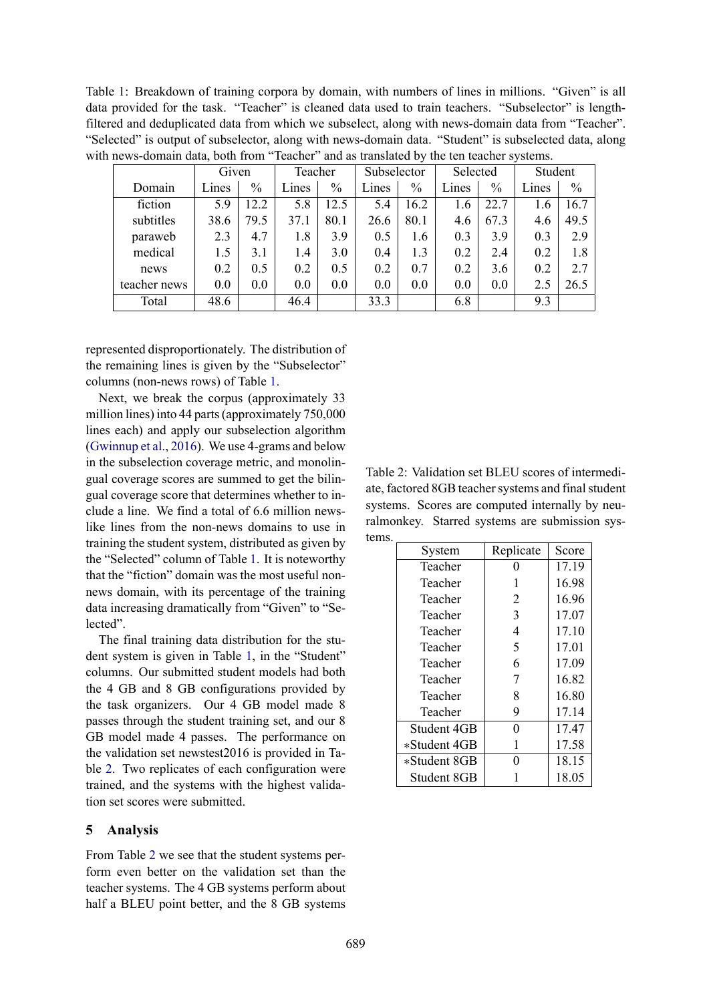Table 1: Breakdown of training corpora by domain, with numbers of lines in millions. "Given" is all data provided for the task. "Teacher" is cleaned data used to train teachers. "Subselector" is lengthfiltered and deduplicated data from which we subselect, along with news-domain data from "Teacher". "Selected" is output of subselector, along with news-domain data. "Student" is subselected data, along with news-domain data, both from "Teacher" and as translated by the ten teacher systems.

|              |       | Given |       | Teacher       |       | Subselector   |       | Selected |       | Student       |  |
|--------------|-------|-------|-------|---------------|-------|---------------|-------|----------|-------|---------------|--|
| Domain       | Lines | $\%$  | Lines | $\frac{0}{0}$ | Lines | $\frac{0}{0}$ | Lines | $\%$     | Lines | $\frac{0}{0}$ |  |
| fiction      | 5.9   | 12.2  | 5.8   | 12.5          | 5.4   | 16.2          | 1.6   | 22.7     | 1.6   | 16.7          |  |
| subtitles    | 38.6  | 79.5  | 37.1  | 80.1          | 26.6  | 80.1          | 4.6   | 67.3     | 4.6   | 49.5          |  |
| paraweb      | 2.3   | 4.7   | 1.8   | 3.9           | 0.5   | 1.6           | 0.3   | 3.9      | 0.3   | 2.9           |  |
| medical      | 1.5   | 3.1   | 1.4   | 3.0           | 0.4   | 1.3           | 0.2   | 2.4      | 0.2   | 1.8           |  |
| news         | 0.2   | 0.5   | 0.2   | 0.5           | 0.2   | 0.7           | 0.2   | 3.6      | 0.2   | 2.7           |  |
| teacher news | 0.0   | 0.0   | 0.0   | 0.0           | 0.0   | 0.0           | 0.0   | 0.0      | 2.5   | 26.5          |  |
| Total        | 48.6  |       | 46.4  |               | 33.3  |               | 6.8   |          | 9.3   |               |  |

represented disproportionately. The distribution of the remaining lines is given by the "Subselector" columns (non-news rows) of Table 1.

Next, we break the corpus (approximately 33 million lines) into 44 parts (approximately 750,000 lines each) and apply our subselection algorithm (Gwinnup et al., 2016). We use 4-grams and below in the subselection coverage metric, and monolingual coverage scores are summed to get the bilingual coverage score that determines whether to include a line. We find a total of 6.6 million newslike lines from the non-news domains to use in training the student system, distributed as given by the "Selected" column of Table 1. It is noteworthy that the "fiction" domain was the most useful nonnews domain, with its percentage of the training data increasing dramatically from "Given" to "Selected".

The final training data distribution for the student system is given in Table 1, in the "Student" columns. Our submitted student models had both the 4 GB and 8 GB configurations provided by the task organizers. Our 4 GB model made 8 passes through the student training set, and our 8 GB model made 4 passes. The performance on the validation set newstest2016 is provided in Table 2. Two replicates of each configuration were trained, and the systems with the highest validation set scores were submitted.

## **5 Analysis**

From Table 2 we see that the student systems perform even better on the validation set than the teacher systems. The 4 GB systems perform about half a BLEU point better, and the 8 GB systems

Table 2: Validation set BLEU scores of intermediate, factored 8GB teacher systems and final student systems. Scores are computed internally by neuralmonkey. Starred systems are submission systems.

| System       | Replicate | Score |  |
|--------------|-----------|-------|--|
| Teacher      |           | 17.19 |  |
| Teacher      | 1         | 16.98 |  |
| Teacher      | 2         | 16.96 |  |
| Teacher      | 3         | 17.07 |  |
| Teacher      | 4         | 17.10 |  |
| Teacher      | 5         | 17.01 |  |
| Teacher      | 6         | 17.09 |  |
| Teacher      | 7         | 16.82 |  |
| Teacher      | 8         | 16.80 |  |
| Teacher      | 9         | 17.14 |  |
| Student 4GB  | 0         | 17.47 |  |
| *Student 4GB | 1         | 17.58 |  |
| *Student 8GB | 0         | 18.15 |  |
| Student 8GB  |           | 18.05 |  |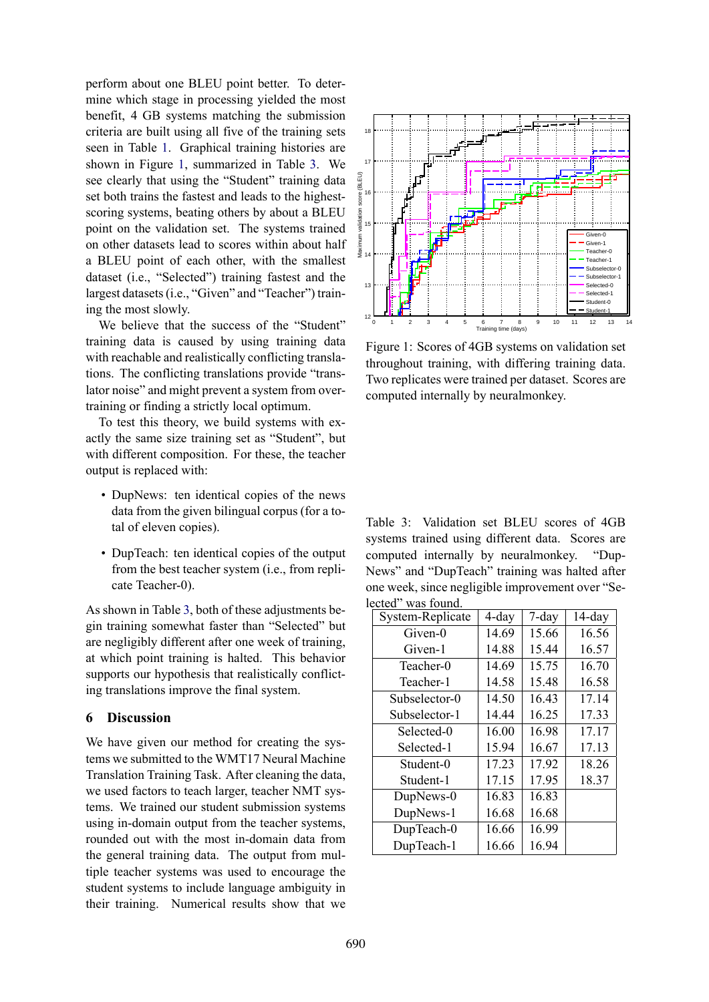perform about one BLEU point better. To determine which stage in processing yielded the most benefit, 4 GB systems matching the submission criteria are built using all five of the training sets seen in Table 1. Graphical training histories are shown in Figure 1, summarized in Table 3. We see clearly that using the "Student" training data set both trains the fastest and leads to the highestscoring systems, beating others by about a BLEU point on the validation set. The systems trained on other datasets lead to scores within about half a BLEU point of each other, with the smallest dataset (i.e., "Selected") training fastest and the largest datasets (i.e., "Given" and "Teacher") training the most slowly.

We believe that the success of the "Student" training data is caused by using training data with reachable and realistically conflicting translations. The conflicting translations provide "translator noise" and might prevent a system from overtraining or finding a strictly local optimum.

To test this theory, we build systems with exactly the same size training set as "Student", but with different composition. For these, the teacher output is replaced with:

- DupNews: ten identical copies of the news data from the given bilingual corpus (for a total of eleven copies).
- DupTeach: ten identical copies of the output from the best teacher system (i.e., from replicate Teacher-0).

As shown in Table 3, both of these adjustments begin training somewhat faster than "Selected" but are negligibly different after one week of training, at which point training is halted. This behavior supports our hypothesis that realistically conflicting translations improve the final system.

#### **6 Discussion**

We have given our method for creating the systems we submitted to the WMT17 Neural Machine Translation Training Task. After cleaning the data, we used factors to teach larger, teacher NMT systems. We trained our student submission systems using in-domain output from the teacher systems, rounded out with the most in-domain data from the general training data. The output from multiple teacher systems was used to encourage the student systems to include language ambiguity in their training. Numerical results show that we



Figure 1: Scores of 4GB systems on validation set throughout training, with differing training data. Two replicates were trained per dataset. Scores are computed internally by neuralmonkey.

Table 3: Validation set BLEU scores of 4GB systems trained using different data. Scores are computed internally by neuralmonkey. "Dup-News" and "DupTeach" training was halted after one week, since negligible improvement over "Selected" was found.

| System-Replicate | $4$ -day | $7$ -day | $14$ -day |
|------------------|----------|----------|-----------|
| Given-0          | 14.69    | 15.66    | 16.56     |
| Given-1          | 14.88    | 15.44    | 16.57     |
| Teacher-0        | 14.69    | 15.75    | 16.70     |
| Teacher-1        | 14.58    | 15.48    | 16.58     |
| Subselector-0    | 14.50    | 16.43    | 17.14     |
| Subselector-1    | 14.44    | 16.25    | 17.33     |
| Selected-0       | 16.00    | 16.98    | 17.17     |
| Selected-1       | 15.94    | 16.67    | 17.13     |
| Student-0        | 17.23    | 17.92    | 18.26     |
| Student-1        | 17.15    | 17.95    | 18.37     |
| DupNews-0        | 16.83    | 16.83    |           |
| DupNews-1        | 16.68    | 16.68    |           |
| DupTeach-0       | 16.66    | 16.99    |           |
| DupTeach-1       | 16.66    | 16.94    |           |